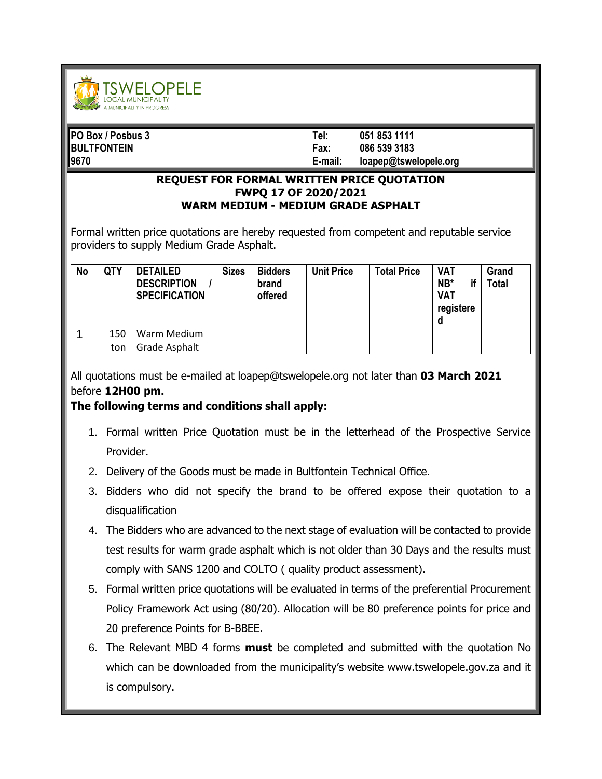

| PO Box / Posbus 3  | Tel:    | 051 853 1111          |
|--------------------|---------|-----------------------|
| <b>BULTFONTEIN</b> | Fax:    | 086 539 3183          |
| 19670              | E-mail: | loapep@tswelopele.org |

## **REQUEST FOR FORMAL WRITTEN PRICE QUOTATION FWPQ 17 OF 2020/2021 WARM MEDIUM - MEDIUM GRADE ASPHALT**

Formal written price quotations are hereby requested from competent and reputable service providers to supply Medium Grade Asphalt.

| <b>No</b> | QTY | <b>DETAILED</b><br><b>DESCRIPTION</b><br><b>SPECIFICATION</b> | <b>Sizes</b> | <b>Bidders</b><br>brand<br>offered | <b>Unit Price</b> | <b>Total Price</b> | <b>VAT</b><br>$NB*$<br><b>VAT</b><br>registere<br>a | Grand<br><b>Total</b> |
|-----------|-----|---------------------------------------------------------------|--------------|------------------------------------|-------------------|--------------------|-----------------------------------------------------|-----------------------|
|           | 150 | Warm Medium                                                   |              |                                    |                   |                    |                                                     |                       |
|           | ton | Grade Asphalt                                                 |              |                                    |                   |                    |                                                     |                       |

All quotations must be e-mailed at loapep@tswelopele.org not later than **03 March 2021** before **12H00 pm.**

## **The following terms and conditions shall apply:**

- 1. Formal written Price Quotation must be in the letterhead of the Prospective Service Provider.
- 2. Delivery of the Goods must be made in Bultfontein Technical Office.
- 3. Bidders who did not specify the brand to be offered expose their quotation to a disqualification
- 4. The Bidders who are advanced to the next stage of evaluation will be contacted to provide test results for warm grade asphalt which is not older than 30 Days and the results must comply with SANS 1200 and COLTO ( quality product assessment).
- 5. Formal written price quotations will be evaluated in terms of the preferential Procurement Policy Framework Act using (80/20). Allocation will be 80 preference points for price and 20 preference Points for B-BBEE.
- 6. The Relevant MBD 4 forms **must** be completed and submitted with the quotation No which can be downloaded from the municipality's website www.tswelopele.gov.za and it is compulsory.